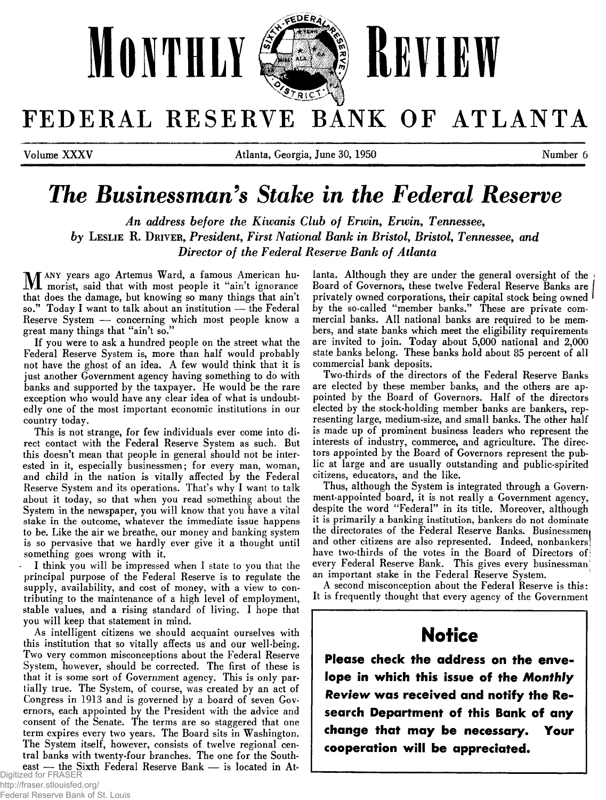

FEDERAL RESERVE BANK OF ATLANTA

**Volume XXXV** Number 6 **Atlanta, Georgia, June 30, 1950** Number 6

# *The Businessman's Stake in the Federal Reserve*

*An address before the Kiwanis Club of Erwin, Erwin, Tennessee, by* LESLIE R. DRIVER, President, First National Bank in Bristol, Bristol, Tennessee, and *Director of the Federal Reserve Bank of Atlanta* 

M ANY years ago Artemus Ward, a famous American humorist, said that with most people it "ain't ignorance that does the damage, but knowing so many things that ain't **so ." T oday I want to talk about an institution — the Federal** Reserve System — concerning which most people know a great many things that "ain't so."

If you were to ask a hundred people on the street what the Federal Reserve System is, more than half would probably not have the ghost of an idea. A few would think that it is just another Government agency having something to do with banks and supported by the taxpayer. He would be the rare exception who would have any clear idea of what is undoubtedly one of the most important economic institutions in our **country today.**

This is not strange, for few individuals ever come into direct contact with the Federal Reserve System as such. But this doesn't mean that people in general should not be interested in it, especially businessmen; for every man, woman, and child in the nation is vitally affected by the Federal Reserve System and its operations. That's why I want to talk about it today, so that when you read something about the System in the newspaper, you will know that you have a vital stake in the outcome, whatever the immediate issue happens to be. Like the air we breathe, our money and banking system **is so pervasive that we hardly ever give it a thought until som ething goes w rong with it.**

I think you will be impressed when I state to you that the principal purpose of the Federal Reserve is to regulate the supply, availability, and cost of money, with a view to contributing to the maintenance of a high level of employment, stable values, and a rising standard of living. I hope that you will keep that statement in mind.

As intelligent citizens we should acquaint ourselves with this institution that so vitally affects us and our well-being. Two very common misconceptions about the Federal Reserve System, however, should be corrected. The first of these is that it is some sort of Government agency. This is only partially true. The System, of course, was created by an act of Congress in 1913 and is governed by a board of seven Governors, each appointed by the President with the advice and consent of the Senate. The terms are so staggered that one term expires every two years. The Board sits in Washington. The System itself, however, consists of twelve regional central banks with twenty-four branches. The one for the South**east — the Sixth Federal Reserve Bank — is located in At-**<br>Digitized for FRASER

http://fraser.stlouisfed.org/

lanta. Although they are under the general oversight of the Board of Governors, these twelve Federal Reserve Banks are **privately ow ned corporations, their capital stock being owned** by the so-called "member banks." These are private commercial banks. All national banks are required to be members, and state banks which meet the eligibility requirements **are invited to join. T oday about 5,000 national and 2,000** state banks belong. These banks hold about 85 percent of all commercial bank deposits.

Two-thirds of the directors of the Federal Reserve Banks are elected by these member banks, and the others are appointed by the Board of Governors. Half of the directors **elected by the stock-holding member banks are bankers, rep**resenting large, medium-size, and small banks. The other half is made up of prominent business leaders who represent the interests of industry, commerce, and agriculture. The directors appointed by the Board of Governors represent the public at large and are usually outstanding and public-spirited **citizens, educators, and the like.**

**Thus, although the System is integrated through a Govern**ment-appointed board, it is not really a Government agency, despite the word "Federal" in its title. Moreover, although it is primarily a banking institution, bankers do not dominate the directorates of the Federal Reserve Banks. Businessmen<sub>i</sub> **and other citizens are also represented. Indeed, nonbankersl** have two-thirds of the votes in the Board of Directors of every Federal Reserve Bank. This gives every businessman<sup>1</sup> an important stake in the Federal Reserve System.

A second misconception about the Federal Reserve is this: **It is frequently thought that every agency of the Government**

# **N o tic e**

**Please check the address on the envelope in which this issue of the** *Monthly Review* **was received and notify the Research Department of this Bank of any change that may be necessary. Your cooperation will be appreciated.**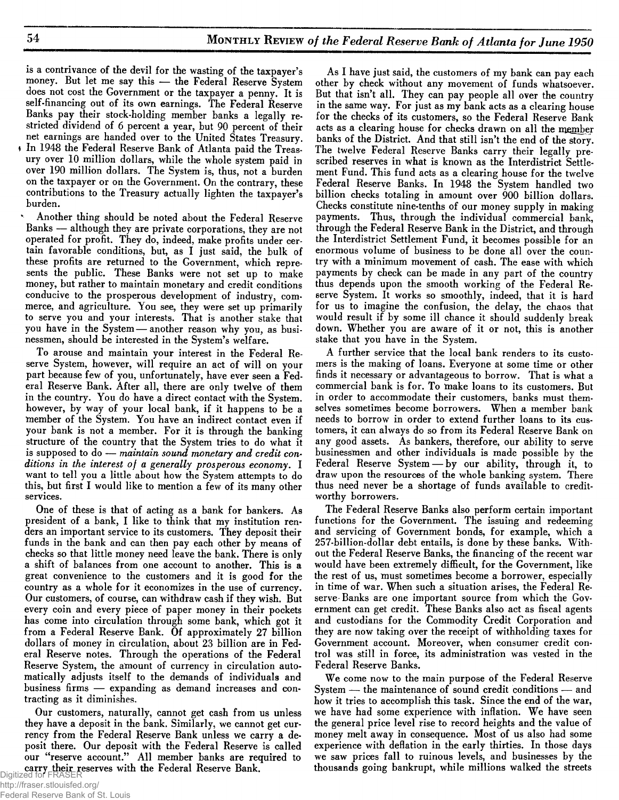is a contrivance of the devil for the wasting of the taxpayer's money. But let me say this - the Federal Reserve System does not cost the Government or the taxpayer a penny. It is self-financing out of its own earnings. The Federal Reserve Banks pay their stock-holding member banks a legally restricted dividend of 6 percent a year, but 90 percent of their net earnings are handed over to the United States Treasury.  $\cdot$  In 1948 the Federal Reserve Bank of Atlanta paid the Treasury over 10 million dollars, while the whole system paid in over 190 million dollars. The System is, thus, not a burden on the taxpayer or on the Government. On the contrary, these contributions to the Treasury actually lighten the taxpayer's **burden.**

Another thing should be noted about the Federal Reserve **Banks — although they are private corporations, they are not** operated for profit. They do, indeed, make profits under certain favorable conditions, but, as I just said, the bulk of these profits are returned to the Government, which represents the public. These Banks were not set up to make money, but rather to maintain monetary and credit conditions conducive to the prosperous development of industry, commerce, and agriculture. You see, they were set up primarily **to serve you and your interests. That is another stake that** you have in the System - another reason why you, as busi**nessm en, should be interested in the System 's w elfare.**

To arouse and maintain your interest in the Federal Reserve System, however, will require an act of will on your part because few of you, unfortunately, have ever seen a Federal Reserve Bank. After all, there are only twelve of them in the country. You do have a direct contact with the System. however, by way of your local bank, if it happens to be a member of the System. You have an indirect contact even if your bank is not a member. For it is through the banking structure of the country that the System tries to do what it **is supposed to do —** *maintain sound monetary and credit conditions in the interest of a generally prosperous economy***. I** want to tell you a little about how the System attempts to do this, but first I would like to mention a few of its many other **services.**

One of these is that of acting as a bank for bankers. As president of a bank, I like to think that my institution ren**ders an im portant service to its custom ers. T hey deposit their** funds in the bank and can then pay each other by means of checks so that little money need leave the bank. There is only a shift of balances from one account to another. This is a **great convenience to the custom ers and it is good for the** country as a whole for it economizes in the use of currency. Our customers, of course, can withdraw cash if they wish. But every coin and every piece of paper money in their pockets has come into circulation through some bank, which got it from a Federal Reserve Bank. Of approximately 27 billion dollars of money in circulation, about 23 billion are in Federal Reserve notes. Through the operations of the Federal Reserve System, the amount of currency in circulation automatically adjusts itself to the demands of individuals and business firms — expanding as demand increases and con**tracting as it dim inishes.**

**Our custom ers, naturally, cannot get cash from us unless** they have a deposit in the bank. Similarly, we cannot get currency from the Federal Reserve Bank unless we carry a deposit there. Our deposit with the Federal Reserve is called **our "reserve account." A ll mem ber banks are required to carry their reserves with the Federal Reserve Bank.**<br>Digitized for FRASER

As I have just said, the customers of my bank can pay each other by check without any movement of funds whatsoever. But that isn't all. They can pay people all over the country in the same way. For just as my bank acts as a clearing house for the checks of its customers, so the Federal Reserve Bank acts as a clearing house for checks drawn on all the member banks of the District. And that still isn't the end of the story. The twelve Federal Reserve Banks carry their legally prescribed reserves in what is known as the Interdistrict Settlement Fund. This fund acts as a clearing house for the twelve **Federal Reserve Banks. In 1948 the System handled two** billion checks totaling in amount over 900 billion dollars. Checks constitute nine-tenths of our money supply in making<br>payments. Thus, through the individual commercial bank. Thus, through the individual commercial bank, through the Federal Reserve Bank in the District, and through the Interdistrict Settlement Fund, it becomes possible for an enormous volume of business to be done all over the country with a minimum movement of cash. The ease with which payments by check can be made in any part of the country thus depends upon the smooth working of the Federal Re**serve System . It works so sm oothly, indeed, that it is hard for us to im agine the confusion, the delay, the chaos that** would result if by some ill chance it should suddenly break down. Whether you are aware of it or not, this is another **stake that you have in the System .**

A further service that the local bank renders to its customers is the making of loans. Everyone at some time or other finds it necessary or advantageous to borrow. That is what a **com m ercial bank is for. To m ake loans to its custom ers. But** in order to accommodate their customers, banks must themselves sometimes become borrowers. When a member bank **needs to borrow in order to extend further loans to its custom ers, it can alw ays do so from its Federal Reserve Bank on** any good assets. As bankers, therefore, our ability to serve businessmen and other individuals is made possible by the Federal Reserve System - by our ability, through it, to draw upon the resources of the whole banking system. There thus need never be a shortage of funds available to credit**w orthy borrowers.**

**The Federal R eserve Banks also perform certain im portant** functions for the Government. The issuing and redeeming and servicing of Government bonds, for example, which a 257-billion-dollar debt entails, is done by these banks. Without the Federal Reserve Banks, the financing of the recent war would have been extremely difficult, for the Government, like the rest of us, must sometimes become a borrower, especially in time of war. When such a situation arises, the Federal Reserve-Banks are one important source from which the Government can get credit. These Banks also act as fiscal agents and custodians for the Commodity Credit Corporation and they are now taking over the receipt of withholding taxes for Government account. Moreover, when consumer credit control was still in force, its administration was vested in the Federal Reserve Banks.

We come now to the main purpose of the Federal Reserve System — the maintenance of sound credit conditions — and how it tries to accomplish this task. Since the end of the war, we have had some experience with inflation. We have seen **the general price level rise to record heights and the value of** money melt away in consequence. Most of us also had some **experience w ith deflation in the early thirties. In those days** we saw prices fall to ruinous levels, and businesses by the thousands going bankrupt, while millions walked the streets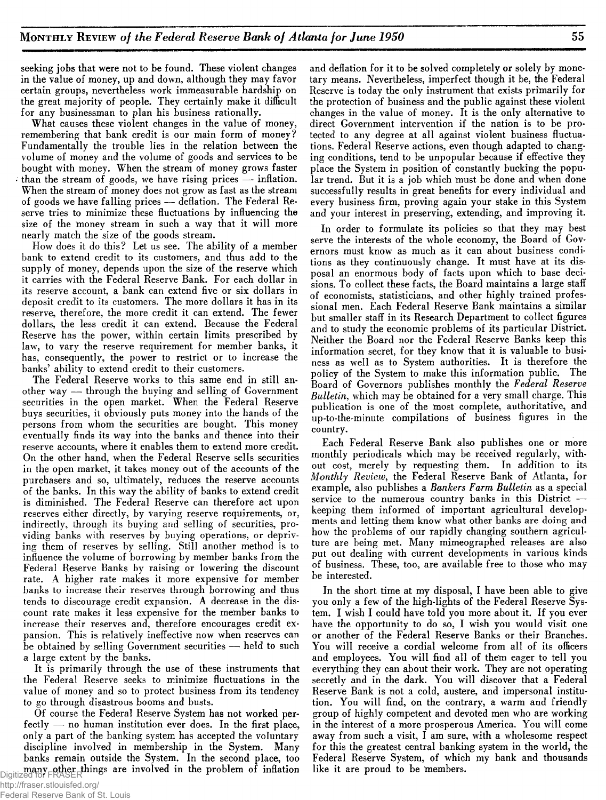seeking jobs that were not to be found. These violent changes in the value of money, up and down, although they may favor certain groups, nevertheless work immeasurable hardship on the great majority of people. They certainly make it difficult for any businessman to plan his business rationally.

What causes these violent changes in the value of money, remembering that bank credit is our main form of money? Fundamentally the trouble lies in the relation between the volume of money and the volume of goods and services to be bought with money. When the stream of money grows faster than the stream of goods, we have rising prices  $-$  inflation. When the stream of money does not grow as fast as the stream of goods we have falling prices — deflation. The Federal Reserve tries to minimize these fluctuations by influencing the size of the money stream in such a way that it will more nearly match the size of the goods stream.

How does it do this? Let us see. The ability of a member bank to extend credit to its customers, and thus add to the supply of money, depends upon the size of the reserve which it carries with the Federal Reserve Bank. For each dollar in its reserve account, a bank can extend five or six dollars in deposit credit to its customers. The more dollars it has in its reserve, therefore, the more credit it can extend. The fewer dollars, the less credit it can extend. Because the Federal Reserve has the power, within certain limits prescribed by law, to vary the reserve requirement for member banks, it has, consequently, the power to restrict or to increase the banks' ability to extend credit to their customers.

The Federal Reserve works to this same end in still another way — through the buying and selling of Government securities in the open market. When the Federal Reserve buys securities, it obviously puts money into the hands of the persons from whom the securities are bought. This money eventually finds its way into the banks and thence into their reserve accounts, where it enables them to extend more credit. On the other hand, when the Federal Reserve sells securities in the open market, it takes money out of the accounts of the purchasers and so, ultimately, reduces the reserve accounts of the banks. In this way the ability of banks to extend credit is diminished. The Federal Reserve can therefore act upon reserves either directly, by varying reserve requirements, or, indirectly, through its buying and selling of securities, providing banks with reserves by buying operations, or depriving them of reserves by selling. Still another method is to influence the volume of borrowing by member banks from the Federal Reserve Banks by raising or lowering the discount rate. A higher rate makes it more expensive for member banks to increase their reserves through borrowing and thus tends to discourage credit expansion. A decrease in the discount rate makes it less expensive for the member banks to increase their reserves and, therefore encourages credit expansion. This is relatively ineffective now when reserves can be obtained by selling Government securities — held to such a large extent by the banks.

It is primarily through the use of these instruments that the Federal Reserve seeks to minimize fluctuations in the value of money and so to protect business from its tendency to go through disastrous booms and busts.

Of course the Federal Reserve System has not worked perfectly — no human institution ever does. In the first place, only a part of the banking system has accepted the voluntary discipline involved in membership in the System. Many banks remain outside the System. In the second place, too many other things are involved in the problem of inflation Digitized for FRASER

and deflation for it to be solved completely or solely by monetary means. Nevertheless, imperfect though it be, the Federal Reserve is today the only instrument that exists primarily for the protection of business and the public against these violent changes in the value of money. It is the only alternative to direct Government intervention if the nation is to be protected to any degree at all against violent business fluctuations. Federal Reserve actions, even though adapted to changing conditions, tend to be unpopular because if effective they place the System in position of constantly bucking the popular trend. But it is a job which must be done and when done successfully results in great benefits for every individual and every business firm, proving again your stake in this System and your interest in preserving, extending, and improving it.

In order to formulate its policies so that they may best serve the interests of the whole economy, the Board of Governors must know as much as it can about business conditions as they continuously change. It must have at its disposal an enormous body of facts upon which to base decisions. To collect these facts, the Board maintains a large staff of economists, statisticians, and other highly trained professional men. Each Federal Reserve Bank maintains a similar but smaller staff in its Research Department to collect figures and to study the economic problems of its particular District. Neither the Board nor the Federal Reserve Banks keep this information secret, for they know that it is valuable to business as well as to System authorities. It is therefore the policy of the System to make this information public. The Board of Governors publishes monthly the *Federal Reserve Bulletin,* which may be obtained for a very small charge. This publication is one of the most complete, authoritative, and up-to-the-minute compilations of business figures in the country.

Each Federal Reserve Bank also publishes one or more monthly periodicals which may be received regularly, without cost, merely by requesting them. In addition to its *Monthly Review*, the Federal Reserve Bank of Atlanta, for example, also publishes a *Bankers Farm Bulletin* as a special service to the numerous country banks in this District keeping them informed of important agricultural developments and letting them know what other banks are doing and how the problems of our rapidly changing southern agriculture are being met. Many mimeographed releases are also put out dealing with current developments in various kinds of business. These, too, are available free to those who may be interested.

In the short time at my disposal, I have been able to give you only a few of the high-lights of the Federal Reserve System. I wish I could have told you more about it. If you ever have the opportunity to do so, I wish you would visit one or another of the Federal Reserve Banks or their Branches. You will receive a cordial welcome from all of its officers and employees. You will find all of them eager to tell you everything they can about their work. They are not operating secretly and in the dark. You will discover that a Federal Reserve Bank is not a cold, austere, and impersonal institution. You will find, on the contrary, a warm and friendly group of highly competent and devoted men who are working in the interest of a more prosperous America. You will come away from such a visit, I am sure, with a wholesome respect for this the greatest central banking system in the world, the Federal Reserve System, of which my bank and thousands like it are proud to be members.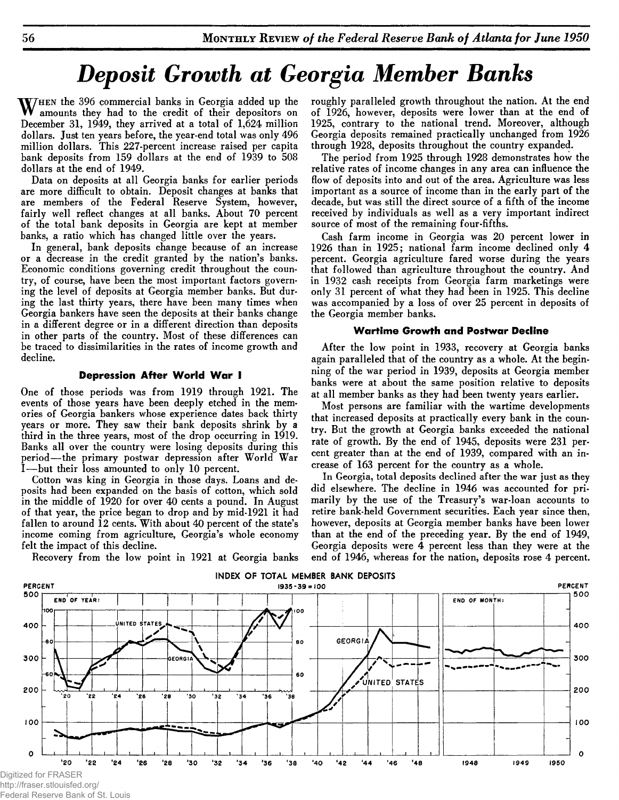# *Deposit Growth at Georgia Member Banks*

WHEN the 396 commercial banks in Georgia added up the<br>mounts they had to the credit of their depositors on<br>December 31, 1040, they arrived at a total of 1.624 million amounts they had to the credit of their depositors on December 31, 1949, they arrived at a total of 1,624 million dollars. Just ten years before, the year-end total was only 496 million dollars. This 227-percent increase raised per capita bank deposits from 159 dollars at the end of 1939 to 508 dollars at the end of 1949.

Data on deposits at all Georgia banks for earlier periods are more difficult to obtain. Deposit changes at banks that are members of the Federal Reserve System, however, fairly well reflect changes at all banks. About 70 percent of the total bank deposits in Georgia are kept at member banks, a ratio which has changed little over the years.

In general, bank deposits change because of an increase or a decrease in the credit granted by the nation's banks. Economic conditions governing credit throughout the country, of course, have been the most important factors governing the level of deposits at Georgia member banks. But during the last thirty years, there have been many times when Georgia bankers have seen the deposits at their banks change in a different degree or in a different direction than deposits in other parts of the country. Most of these differences can be traced to dissimilarities in the rates of income growth and decline.

#### **Depression After World War I**

One of those periods was from 1919 through 1921. The events of those years have been deeply etched in the memories of Georgia bankers whose experience dates back thirty years or more. They saw their bank deposits shrink by a third in the three years, most of the drop occurring in 1919. Banks all over the country were losing deposits during this period— the primary postwar depression after World War —but their loss amounted to only 10 percent.

Cotton was king in Georgia in those days. Loans and deposits had been expanded on the basis of cotton, which sold in the middle of 1920 for over 40 cents a pound. In August of that year, the price began to drop and by mid-1921 it had fallen to around 12 cents. With about 40 percent of the state's income coming from agriculture, Georgia's whole economy felt the impact of this decline.

roughly paralleled growth throughout the nation. At the end of 1926, however, deposits were lower than at the end of 1925, contrary to the national trend. Moreover, although Georgia deposits remained practically unchanged from 1926 through 1928, deposits throughout the country expanded.

The period from 1925 through 1928 demonstrates how the relative rates of income changes in any area can influence the flow of deposits into and out of the area. Agriculture was less important as a source of income than in the early part of the decade, but was still the direct source of a fifth of the income received by individuals as well as a very important indirect source of most of the remaining four-fifths.

Cash farm income in Georgia was 20 percent lower in 1926 than in 1925; national farm income declined only 4 percent. Georgia agriculture fared worse during the years that followed than agriculture throughout the country. And in 1932 cash receipts from Georgia farm marketings were only 31 percent of what they had been in 1925. This decline was accompanied by a loss of over 25 percent in deposits of the Georgia member banks.

#### **Wartime Growth and Postwar Decline**

After the low point in 1933, recovery at Georgia banks again paralleled that of the country as a whole. At the beginning of the war period in 1939, deposits at Georgia member banks were at about the same position relative to deposits at all member banks as they had been twenty years earlier.

Most persons are familiar with the wartime developments that increased deposits at practically every bank in the country. But the growth at Georgia banks exceeded the national rate of growth. By the end of 1945, deposits were 231 percent greater than at the end of 1939, compared with an increase of 163 percent for the country as a whole.

In Georgia, total deposits declined after the war just as they did elsewhere. The decline in 1946 was accounted for primarily by the use of the Treasury's war-loan accounts to retire bank-held Government securities. Each year since then, however, deposits at Georgia member banks have been lower than at the end of the preceding year. By the end of 1949, Georgia deposits were 4 percent less than they were at the end of 1946, whereas for the nation, deposits rose 4 percent.



Recovery from the low point in 1921 at Georgia banks

http://fraser.stlouisfed.org/

Federal Reserve Bank of St. Louis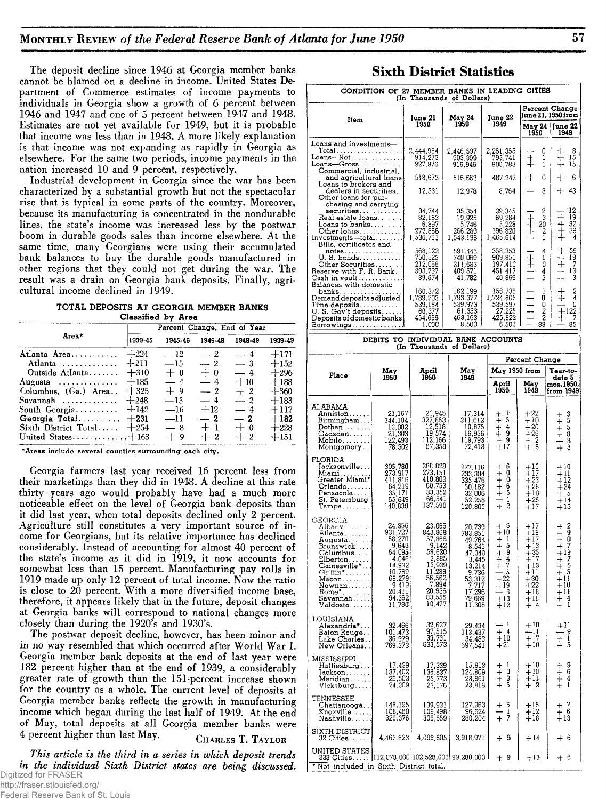The deposit decline since 1946 at Georgia member banks cannot be blamed on a decline in income. United States Department of Commerce estimates of income payments to individuals in Georgia show a growth of 6 percent between 1946 and 1947 and one of 5 percent between 1947 and 1948. Estimates are not yet available for 1949, but it is probable that income was less than in 1948. A more likely explanation is that income was not expanding as rapidly in Georgia as elsewhere. For the same two periods, income payments in the nation increased 10 and 9 percent, respectively.

Industrial development in Georgia since the war has been characterized by a substantial growth but not the spectacular rise that is typical in some parts of the country. Moreover, because its manufacturing is concentrated in the nondurable lines, the state's income was increased less by the postwar boom in durable goods sales than income elsewhere. At the same time, many Georgians were using their accumulated bank balances to buy the durable goods manufactured in other regions that they could not get during the war. The result was a drain on Georgia bank deposits. Finally, agricultural income declined in 1949.

| TOTAL DEPOSITS AT GEORGIA MEMBER BANKS |                    |  |  |
|----------------------------------------|--------------------|--|--|
|                                        | Classified by Area |  |  |

|                      | Percent Change, End of Year |         |         |         |         |  |  |  |  |  |
|----------------------|-----------------------------|---------|---------|---------|---------|--|--|--|--|--|
| Area*                | 1939-45                     | 1945-46 | 1946-48 | 1948-49 | 1939-49 |  |  |  |  |  |
| Atlanta Area         | $+224$                      | $-12$   | $-2$    | $-4$    | $+171$  |  |  |  |  |  |
| Atlanta              | $+211$                      | $-15$   | $-2$    | $-3$    | $+152$  |  |  |  |  |  |
| Outside Atlanta      | $+310$                      | $+0$    | $+0$    | $-4$    | $+296$  |  |  |  |  |  |
| Augusta              | $+185$                      | $-4$    | $-4$    | $+10$   | $+188$  |  |  |  |  |  |
| Columbus, (Ga.) Area | $+325$                      | $+9$    | $-2$    | $+2$    | $+360$  |  |  |  |  |  |
| Savannah $\ldots$    | $+248$                      | $-13$   | $-4$    | $-2$    | $+183$  |  |  |  |  |  |
| South $Georgia$      | $+142$                      | $-16$   | $+12$   | $-4$    | $+117$  |  |  |  |  |  |
| Georgia Total        | $+231$                      | $-11$   | $-2$    | $-2$    | $+182$  |  |  |  |  |  |
| Sixth District Total | $+254$                      | $-8$    | $+1$    | $+0$    | $+228$  |  |  |  |  |  |
| United States $+163$ |                             | $+9$    | $+2$    | $+2$    | $+151$  |  |  |  |  |  |

\* Areas include several counties surrounding each city.

Georgia farmers last year received 16 percent less from their marketings than they did in 1948. A decline at this rate thirty years ago would probably have had a much more noticeable effect on the level of Georgia bank deposits than it did last year, when total deposits declined only 2 percent. Agriculture still constitutes a very important source of income for Georgians, but its relative importance has declined considerably. Instead of accounting for almost 40 percent of the state's income as it did in 1919, it now accounts for somewhat less than 15 percent. Manufacturing pay rolls in 1919 made up only 12 percent of total income. Now the ratio is close to 20 percent. With a more diversified income base, therefore, it appears likely that in the future, deposit changes at Georgia banks will correspond to national changes more closely than during the 1920's and 1930's.

The postwar deposit decline, however, has been minor and in no way resembled that which occurred after World War I. Georgia member bank deposits at the end of last year were 182 percent higher than at the end of 1939, a considerably greater rate of growth than the 151-percent increase shown for the country as a whole. The current level of deposits at Georgia member banks reflects the growth in manufacturing income which began during the last half of 1949. At the end of May, total deposits at all Georgia member banks were 4 percent higher than last May. CHARLES T. TAYLOR

*This article is the third in a series in which deposit trends m the individual Sixth District states are being discussed***.** Digitized for FRASER

## http://fraser.stlouisfed.org/

### **Sixth District Statistics**

|                                                                                                                                                                           | CONDITION OF 27 MEMBER BANKS IN LEADING CITIES                                                                               | (In Thousands of Dollars)                                                                                          |                                                                                                                                                     |                                                                                                                                                                 |                                                                                                                |                                                                                                                                                         |  |  |
|---------------------------------------------------------------------------------------------------------------------------------------------------------------------------|------------------------------------------------------------------------------------------------------------------------------|--------------------------------------------------------------------------------------------------------------------|-----------------------------------------------------------------------------------------------------------------------------------------------------|-----------------------------------------------------------------------------------------------------------------------------------------------------------------|----------------------------------------------------------------------------------------------------------------|---------------------------------------------------------------------------------------------------------------------------------------------------------|--|--|
| Item                                                                                                                                                                      |                                                                                                                              | June 21                                                                                                            | May 24                                                                                                                                              | June 22                                                                                                                                                         | Percent Change<br>June 21, 1950 from                                                                           |                                                                                                                                                         |  |  |
|                                                                                                                                                                           |                                                                                                                              | 1950                                                                                                               | 1950                                                                                                                                                | 1949                                                                                                                                                            | 1950                                                                                                           | May 24   June 22<br>1949                                                                                                                                |  |  |
| Loans and investments—<br>Total.                                                                                                                                          |                                                                                                                              | 2,444,984<br>914,273<br>927,876                                                                                    | 2,446,597<br>903,399<br>916,946                                                                                                                     | 2,261,355<br>795,741<br>805,783                                                                                                                                 | 0<br>$\ddagger$<br>1<br>1                                                                                      | 8<br>15<br>15.                                                                                                                                          |  |  |
| and agricultural loans                                                                                                                                                    |                                                                                                                              | 518,673                                                                                                            | 516,663                                                                                                                                             | 487,342                                                                                                                                                         | $\, +$<br>0                                                                                                    | ┽<br>6                                                                                                                                                  |  |  |
| Loans to brokers and<br>dealer <b>s</b> in securities. .<br>Other loans for pur-                                                                                          |                                                                                                                              | 12,531                                                                                                             | 12,978                                                                                                                                              | 8.764                                                                                                                                                           | 3                                                                                                              | $^{+}$<br>43                                                                                                                                            |  |  |
| chasing and carrying<br>securities<br>Real estate loans<br>$Loans$ to $banks$<br>Other loans<br>$Investments—total \dots$<br>Bills, certificates and                      |                                                                                                                              | 34,744<br>82,163<br>6,897<br>272,868<br>1,530,711                                                                  | 35,354<br>79,925<br>5,746<br>266,280<br>1,543,198                                                                                                   | 39,345<br>69,284<br>5,228<br>196,820<br>1,465,614                                                                                                               | $\frac{2}{3}$<br>20<br>2<br>1                                                                                  | 12<br>19<br>32<br>39<br>4                                                                                                                               |  |  |
| $notes$<br>U.S. bonds<br>Other Securities.<br>Reserve with F. R. Bank<br>$\mathtt{Cash}\ \mathtt{in}\ \mathtt{vault}$<br>Balances with domestic                           |                                                                                                                              | 568, 122<br>750, 523<br>212, 066<br>393, 737<br>39. 674<br>39,674                                                  | $\begin{array}{c} 591,446 \\ 740,069 \\ 211,583 \\ 409,571 \\ 41,782 \end{array}$                                                                   | 358,353<br>909,851<br>197,410<br>451,417<br>40,869                                                                                                              | 4<br>$\frac{1}{0}$<br>5<br>$\ddagger$                                                                          | 59<br>18<br>$\ddot{}$<br>7<br>13<br>3                                                                                                                   |  |  |
| banks.<br>Demand deposits adjusted.<br>$Time\ deposits.$<br>U.S. Gov't deposits<br>Deposits of domestic banks<br>Borrowings                                               |                                                                                                                              | 160,372<br>1,789,203<br>539,184<br>60,377<br>454,699<br>1,000                                                      | 162,199<br>1,793,377<br>539,973<br>61,353<br>463,163<br>8,500                                                                                       | 156,736<br>1,724,605<br>539,597<br>27,225<br>425,822<br>6,500                                                                                                   | ł<br>0<br>0<br>2<br>2<br>88                                                                                    | 2<br>4<br>0<br>$\ddagger^{122}$<br>85                                                                                                                   |  |  |
|                                                                                                                                                                           | DEBITS TO INDIVIDUAL BANK ACCOUNTS                                                                                           |                                                                                                                    |                                                                                                                                                     |                                                                                                                                                                 |                                                                                                                |                                                                                                                                                         |  |  |
|                                                                                                                                                                           |                                                                                                                              | (In Thousands of Dollars)                                                                                          |                                                                                                                                                     |                                                                                                                                                                 | Percent Change                                                                                                 |                                                                                                                                                         |  |  |
| Place                                                                                                                                                                     | May<br>1950                                                                                                                  | April<br>1950                                                                                                      | May<br>1949                                                                                                                                         | May 1950 from                                                                                                                                                   |                                                                                                                | Year-to-<br>date 5                                                                                                                                      |  |  |
|                                                                                                                                                                           |                                                                                                                              |                                                                                                                    |                                                                                                                                                     | April<br>1950                                                                                                                                                   | May<br>1949                                                                                                    | mos.1950,<br>from 1949                                                                                                                                  |  |  |
| ALABAMA<br>Anniston<br>Birmingham<br>$\mathsf{Dothan} \dots \dots$<br>Gadsden<br>Mobile<br>Montgomery                                                                     | 21,167<br>344,104<br>13,002<br>21,303<br>122,493<br>78,502                                                                   | 20,945<br>327.863<br>12,518<br>19,574<br>112,166<br>67,358                                                         | 17,314<br>311,612<br>10,875<br>16,956<br>119,793<br>72,413                                                                                          | $+1$<br>$+5$<br>$+4$<br>∔ ∮<br>$+18.17$                                                                                                                         | $+22$<br>$+10$<br>$+20$<br>$+26$<br>$+2$<br>+ 8                                                                | 3<br>Spra<br>$+ + +$<br>++<br>+<br>+<br>8<br>8                                                                                                          |  |  |
| FLORIDA<br>Jacksonville.<br>Miami<br>Greater Miami*<br>Orlando,<br>Pensacola<br>St. Petersburg.<br>Tampa                                                                  | 305,780<br>273,917<br>$411,816$<br>$64,219$<br>$35,171$<br>$65,649$<br>$140,830$                                             | 288,828<br>273,151<br>410,809<br>$\begin{array}{r} 410,009 \\ 60,753 \\ 33,352 \\ 66,541 \\ 137,590 \end{array}$   | 277, 116<br>233, 304<br>335, 476<br>50, 182<br>32,006<br>52,258<br>120,805                                                                          | 6<br>$^{+}_{+}$<br>$\mathbf 0$<br>0<br>$\frac{+}{+}$<br>$rac{6}{5}$<br>$\frac{+}{+}$<br>2                                                                       | $+10.$<br>$+17$<br>$+23$<br>$+28$<br>$+10$<br>$+26$<br>$+17$                                                   | $+10$<br>+11<br>$+12$<br>$+24$<br>$+5$<br>$+14$<br>$+15$                                                                                                |  |  |
| GEORGIA<br>Albany<br>Atlanta<br>Augusta<br>Brunswick<br>Columbus<br>Elberton <br>Gainesville*<br>Griffin*<br>Macon<br>Newnan<br>Rome*. <i>. .</i><br>Savannah<br>Valdosta | 24,356<br>931,727<br>58,270<br>9,643<br>64.095<br>4,046<br>14.932<br>10,769<br>69,279<br>9,419<br>20,411<br>94,362<br>11,780 | 23,065<br>843,868<br>57,866<br>9,142<br>58,620<br>3,885<br>13,939<br>11,288<br>56,562<br>7,894<br>20,936<br>10,477 | 20,739<br>783,851<br>49,764<br>$8,541$<br>$47,340$<br>47, 3445<br>3, 445<br>13, 214<br>9, 736<br>53, 312<br>7, 717<br>17, 296<br>79, 669<br>11, 306 | -6<br>$\bm{+}$<br>$+10$<br>-1<br>$\, + \,$<br>$\frac{5}{9}$<br>$\pmb{+}$<br>$\ddot{}$<br>$+4$<br>$\ddot{}$<br>- 5<br>$+22$<br>$+19$<br>$-\frac{3}{13}$<br>$+12$ | +17<br>$+19$<br>$+17$<br>$+13$<br>$+35$<br>$+17$<br>$+13$<br>$+11$<br>$+30$<br>$+22$<br>$+18$<br>$+18$<br>$+4$ | 2<br>+<br>9<br>$\ddot{}$<br>Ò<br>$\ddot{}$<br>$+7$<br>$+19$<br>$\ddot{}$<br>-7<br>5<br>$+5$<br>$+11$<br>$+10$<br>$+11$<br>- 4<br>┿<br>ı<br>$\mathrm{+}$ |  |  |
| LOUISIANA<br>Alexandria*<br>Baton Rouge. .<br>Lake Charles. .<br>New Orleans                                                                                              | 32,466<br>101,473<br>36,979<br>769,373                                                                                       | 32,627<br>97,515<br>33,731<br>633,573                                                                              | 29,434<br>113,437<br>34,483<br>697,541                                                                                                              | -1<br>$+4$<br>$+10$<br>$+21$                                                                                                                                    | $+10$<br>—11<br>$+7$<br>$+10$                                                                                  | +11<br>-9<br>1<br>$+$<br>5<br>$\ddot{}$                                                                                                                 |  |  |
| MISSISSIPPI<br>Hattiesburg<br>Jackson<br>Meridian<br>Vicksburg                                                                                                            | 17,439<br>137,402<br>26,503<br>24,309                                                                                        | 17,339<br>136,837<br>25,773<br>23,176                                                                              | 15,913<br>124,809<br>23,861<br>23,818                                                                                                               | 1<br>$\ddot{}$<br>0<br>$\,{}^+$<br>3<br>$\boldsymbol{+}$<br>5<br>$\ddot{}$                                                                                      | $+10$<br>$+10$<br>$+11$<br>+ 2                                                                                 | $\frac{9}{6}$<br>┿<br>$\ddagger$<br>4<br>1                                                                                                              |  |  |
| TENNESSEE<br>Chattanooga<br>Knoxville<br>Nashville                                                                                                                        | 148,195<br>108,460<br>329,376                                                                                                | 139,931<br>109,498<br>306,659                                                                                      | 127,963<br>96,624<br>280,204                                                                                                                        | 6<br>$\mathrm{+}$<br>1<br>7<br>$^{+}$                                                                                                                           | $+16$<br>+12<br>$+18$                                                                                          | +<br>$+6$<br>+13                                                                                                                                        |  |  |
| SIXTH DISTRICT<br>32 Citie <b>s</b> .                                                                                                                                     | 4,462,623                                                                                                                    | 4,099,605                                                                                                          | 3,918,971                                                                                                                                           | - 9<br>┿                                                                                                                                                        | $+14$                                                                                                          | + 6                                                                                                                                                     |  |  |
| UNITED STATES<br>333 Cities [112,078,0001102,528,000199,280,000 1<br>Not included in Sixth District total.                                                                |                                                                                                                              |                                                                                                                    |                                                                                                                                                     | + 9                                                                                                                                                             | $+13$                                                                                                          | + 6                                                                                                                                                     |  |  |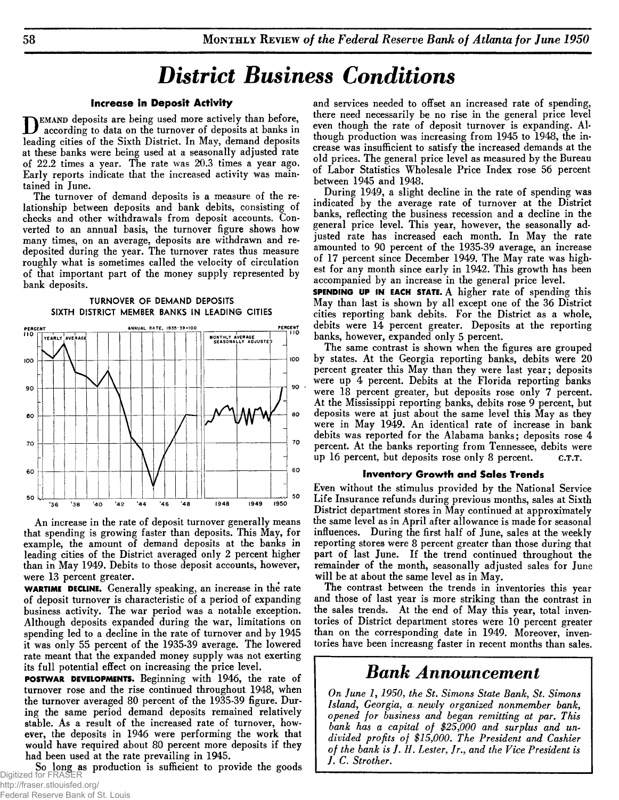# *District Business Conditions*

#### **Increase in Deposit Activity**

**D** EMAND deposits are being used more actively than before,<br>localing cities of the Sixth District In May, demand deposits according to data on the turnover of deposits at banks in leading cities of the Sixth District. In May, demand deposits at these banks were being used at a seasonally adjusted rate of 22.2 times a year. The rate was 20.3 times a year ago. Early reports indicate that the increased activity was maintained in June.

The turnover of demand deposits is a measure of the relationship between deposits and bank debits, consisting of checks and other withdrawals from deposit accounts. Converted to an annual basis, the turnover figure shows how many times, on an average, deposits are withdrawn and redeposited during the year. The turnover rates thus measure roughly what is sometimes called the velocity of circulation of that important part of the money supply represented by bank deposits.





An increase in the rate of deposit turnover generally means that spending is growing faster than deposits. This May, for example, the amount of demand deposits at the banks in leading cities of the District averaged only 2 percent higher than in May 1949. Debits to those deposit accounts, however, were 13 percent greater.

**WARTIME DECLINE.** Generally speaking, an increase in the rate of deposit turnover is characteristic of a period of expanding business activity. The war period was a notable exception. Although deposits expanded during the war, limitations on spending led to a decline in the rate of turnover and by 1945 it was only 55 percent of the 1935-39 average. The lowered rate meant that the expanded money supply was not exerting its full potential effect on increasing the price level.

**POSTW AR DEVELOPMENTS.** Beginning with 1946, the rate of turnover rose and the rise continued throughout 1948, when the turnover averaged 80 percent of the 1935-39 figure. During the same period demand deposits remained relatively stable. As a result of the increased rate of turnover, however, the deposits in 1946 were performing the work that would have required about 80 percent more deposits if they had been used at the rate prevailing in 1945.

So long as production is sufficient to provide the goods Digitized for FRASER

and services needed to offset an increased rate of spending, there need necessarily be no rise in the general price level even though the rate of deposit turnover is expanding. Although production was increasing from 1945 to 1948, the increase was insufficient to satisfy the increased demands at the old prices. The general price level as measured by the Bureau of Labor Statistics Wholesale Price Index rose 56 percent between 1945 and 1948.

During 1949, a slight decline in the rate of spending was indicated by the average rate of turnover at the District banks, reflecting the business recession and a decline in the general price level. This year, however, the seasonally adjusted rate has increased each month. In May the rate amounted to 90 percent of the 1935-39 average, an increase of 17 percent since December 1949. The May rate was highest for any month since early in 1942. This growth has been accompanied by an increase in the general price level.

**SPENDING UP IN EACH STATE.** A higher rate of spending this May than last is shown by all except one of the 36 District cities reporting bank debits. For the District as a whole, debits were 14 percent greater. Deposits at the reporting banks, however, expanded only 5 percent.

The same contrast is shown when the figures are grouped by states. At the Georgia reporting banks, debits were 20 percent greater this May than they were last year; deposits were up 4 percent. Debits at the Florida reporting banks were 18 percent greater, but deposits rose only 7 percent. At the Mississippi reporting banks, debits rose 9 percent, but deposits were at just about the same level this May as they were in May 1949. An identical rate of increase in bank debits was reported for the Alabama banks; deposits rose 4 percent. At the banks reporting from Tennessee, debits were up 16 percent, but deposits rose only 8 percent. c.T.T.

#### **Inventory Growth and Sales Trends**

Even without the stimulus provided by the National Service Life Insurance refunds during previous months, sales at Sixth District department stores in May continued at approximately the same level as in April after allowance is made for seasonal influences. During the first half of June, sales at the weekly reporting stores were 8 percent greater than those during that part of last June. If the trend continued throughout the remainder of the month, seasonally adjusted sales for June will be at about the same level as in May.

The contrast between the trends in inventories this year and those of last year is more striking than the contrast in the sales trends. At the end of May this year, total inventories of District department stores were 10 percent greater than on the corresponding date in 1949. Moreover, inventories have been increasng faster in recent months than sales.

## **Bank Announcement**

*On June 1***,** *1950, the St. Simons State Bank, St. Simons Island***,** *Georgia,* **a.** *newly organized nonmember bank***,** *opened for business and began remitting at par. This bank has a capital of \$25,000 and surplus and undivided profits of \$15,000***.** *The President and Cashier of the bank is J***.** *H***.** *Lester, Jr., and the Vice President is J. C. Strother.*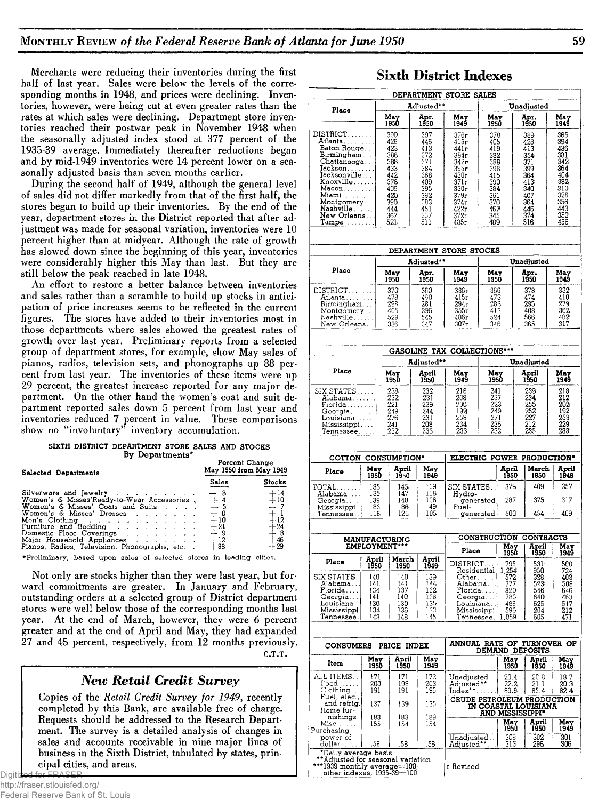Merchants were reducing their inventories during the first half of last year. Sales were below the levels of the corresponding months in 1948, and prices were declining. Inventories, however, were being cut at even greater rates than the rates at which sales were declining. Department store inventories reached their postwar peak in November 1948 when the seasonally adjusted index stood at 377 percent of the 1935-39 average. Immediately thereafter reductions began and by mid-1949 inventories were 14 percent lower on a seasonally adjusted basis than seven months earlier.

During the second half of 1949, although the general level of sales did not differ markedly from that of the first half, the stores began to build up their inventories. By the end of the year, department stores in the District reported that after adjustment was made for seasonal variation, inventories were 10 percent higher than at midyear. Although the rate of growth has slowed down since the beginning of this year, inventories were considerably higher this May than last. But they are still below the peak reached in late 1948.

An effort to restore a better balance between inventories and sales rather than a scramble to build up stocks in anticipation of price increases seems to be reflected in the current figures. The stores have added to their inventories most in those departments where sales showed the greatest rates of growth over last year. Preliminary reports from a selected group of department stores, for example, show May sales of pianos, radios, television sets, and phonographs up 88 percent from last year. The inventories of these items were up 29 percent, the greatest increase reported for any major department. On the other hand the women's coat and suit department reported sales down 5 percent from last year and inventories reduced 7 percent in value. These comparisons show no "involuntary" inventory accumulation.

#### SIXTH DISTRICT DEPARTMENT STORE SALES AND STOCKS **B y D e p a r tm e n ts\***

| Selected Departments                                                                                                                                                                                                                                                                         | Percent Change<br>May 1950 from May 1949                                |                                                                     |  |  |
|----------------------------------------------------------------------------------------------------------------------------------------------------------------------------------------------------------------------------------------------------------------------------------------------|-------------------------------------------------------------------------|---------------------------------------------------------------------|--|--|
|                                                                                                                                                                                                                                                                                              | Sales                                                                   | Stocks                                                              |  |  |
| Silverware and Jewelry<br>Women's & Misses'Ready-to-Wear Accessories.<br>Women's & Misses' Coats and Suits<br>Women's & Misses' Dresses<br>Men's Clothing<br>Furniture and Bedding<br>Domestic Floor Coverings<br>Major Household Appliances<br>Pianos, Radios, Television, Phonographs, etc | - 8<br>$+4$<br>$-5$<br>$+0$<br>$+10$<br>$+21$<br>$^{+9}_{+12}$<br>$+88$ | $\pm^{14}_{10}$<br>$-7$<br>$+12$<br>$+24$<br>$^{+8}_{+46}$<br>$+29$ |  |  |
|                                                                                                                                                                                                                                                                                              |                                                                         |                                                                     |  |  |

\*Preliminary, based upon sales of selected stores in leading cities.

Not only are stocks higher than they were last year, but forward commitments are greater. In January and February, outstanding orders at a selected group of District department stores were well below those of the corresponding months last year. At the end of March, however, they were 6 percent greater and at the end of April and May, they had expanded 27 and 45 percent, respectively, from 12 months previously.

C.T.T.

## *New Retail Credit Survey*

Copies of the *Retail Credit Survey for 1949*, recently completed by this Bank, are available free of charge. Requests should be addressed to the Research Department. The survey is a detailed analysis of changes in sales and accounts receivable in nine major lines of business in the Sixth District, tabulated by states, principal cities, and areas.

### **Sixth District Indexes**

|                                                                    |             |    |                                              |                   | DEPARTMENT STORE SALES                                         |                   |                     |                                          |                   |  |  |
|--------------------------------------------------------------------|-------------|----|----------------------------------------------|-------------------|----------------------------------------------------------------|-------------------|---------------------|------------------------------------------|-------------------|--|--|
| Place                                                              |             |    |                                              | Adiusted**        |                                                                |                   |                     | Unadjusted                               |                   |  |  |
|                                                                    |             |    | May<br>1950                                  | Apr.<br>1950      | May<br>1949                                                    | May<br>1950       |                     | Apr.<br>1950                             | May<br>1949       |  |  |
| DISTRICT<br>Atlanta.                                               |             |    | 390                                          | 397               | 376г<br>415r                                                   | 378               |                     | 389                                      | 365               |  |  |
| Baton Rouge                                                        |             |    | 426<br>423                                   | 446<br>413        | 441r                                                           | 405<br>419        |                     | 428<br>413                               | 394<br>436        |  |  |
| Birmingham<br>Chattanooga                                          |             |    | 386<br>388                                   | 372<br>371        | 384r<br>342r                                                   | 382<br>388        |                     | 354<br>371                               | 381<br>342        |  |  |
| Jackson<br>Jacksonville                                            |             |    | 433<br>442                                   | 384<br>368        | 395r<br>430r                                                   | 398               |                     | 399<br>364                               | 364<br>404        |  |  |
| Knoxville                                                          |             |    | 378                                          | 409               | 371 r                                                          | 415<br>390        |                     | 413                                      | 382               |  |  |
| Macon<br>Miami                                                     |             |    | 409<br>420                                   | 395<br>392        | 330r<br>379r                                                   | 384<br>361        |                     | 340<br>407                               | 310<br>326        |  |  |
| Montgomery<br>Nashville                                            |             |    | 390<br>444                                   | 383<br>451        | 374r<br>422r                                                   | 370<br>467        |                     | 364<br>446                               | 356<br>443        |  |  |
| New Orleans<br>Tampa                                               |             |    | 367<br>521                                   | 367<br>511        | 372r<br>485г                                                   | 345<br>489        |                     | 374<br>516                               | 350<br>456        |  |  |
|                                                                    |             |    |                                              |                   |                                                                |                   |                     |                                          |                   |  |  |
|                                                                    |             |    |                                              | Adjusted**        | DEPARTMENT STORE STOCKS                                        |                   |                     | Unadjusted                               |                   |  |  |
| Place                                                              |             |    | May                                          | Āрr.              | May<br>May                                                     |                   |                     | Apr.                                     | May               |  |  |
|                                                                    |             |    | 1950                                         | 1950              | 1949                                                           | 1950              |                     | 1950                                     | 1949              |  |  |
| DISTRICT<br>Atlanta                                                |             |    | 370<br>478                                   | 360<br>460        | 336г<br>415r                                                   | 366<br>473<br>283 |                     | 378<br>474                               | 332<br>410        |  |  |
| Birmingham                                                         |             |    | 298<br>405                                   | 281<br>396        | 294r<br>355г                                                   | 413               |                     | 295<br>408                               | 279<br>362        |  |  |
| Montgomery<br>Nashville<br>New Orleans. .                          |             |    | 529<br>336                                   | 545<br>347        | 486r<br>307r                                                   | 524<br>346        |                     | 566<br>365                               | 482<br>317        |  |  |
|                                                                    |             |    |                                              |                   |                                                                |                   |                     |                                          |                   |  |  |
|                                                                    |             |    |                                              |                   | GASOLINE TAX COLLECTIONS***                                    |                   |                     |                                          |                   |  |  |
|                                                                    |             |    |                                              | Adjusted**        |                                                                |                   |                     | Unadjusted                               |                   |  |  |
| Place                                                              |             |    | May<br>1950                                  | April<br>1950     | May<br>1949                                                    | May<br>1950       |                     | April<br>1950                            | May<br>1949       |  |  |
| SIX STATES<br>Alabama                                              |             |    | 238<br>232                                   | 232<br>231        | 216<br>208                                                     | 241<br>237        |                     | 239<br>234                               | 218<br>212        |  |  |
| Florida                                                            |             |    | 221                                          | 239               | 200                                                            | 223<br>249        |                     | 255<br>252                               | 202               |  |  |
| Georgia<br>Louisiana                                               |             |    | 249<br>276                                   | 244<br>231        | 192<br>271<br>258                                              |                   |                     | 227                                      | 192<br>253<br>229 |  |  |
| Mississippi<br>Tennessee                                           |             |    | 241<br>232                                   | 208<br>233        | 234<br>236<br>232<br>233                                       |                   |                     | 212<br>235                               | 233               |  |  |
|                                                                    |             |    |                                              |                   |                                                                |                   |                     |                                          |                   |  |  |
| COTTON CONSUMPTION*                                                |             |    |                                              |                   | ELECTRIC POWER PRODUCTION <sup>®</sup>                         |                   |                     |                                          |                   |  |  |
| Place                                                              | May<br>1950 |    | April<br>1950                                | May<br>1949       |                                                                |                   | April<br>1950       | March<br>1950                            | April<br>1949     |  |  |
| TOTAL<br>Alabama                                                   | 135<br>135  |    | 145<br>147                                   | 109<br>118        | SIX STATES.<br>Hydro-                                          |                   | 379                 | 409                                      | 357               |  |  |
| Georgia                                                            | 139         |    | 148                                          | 106<br>49         | generated                                                      |                   | 287                 | 375                                      | 317               |  |  |
| Mississippi<br>Tennessee                                           | 116         | 83 | 86<br>121                                    | 105               | Fuel-<br>generated                                             |                   | 500                 | 454                                      | 409               |  |  |
|                                                                    |             |    |                                              |                   |                                                                |                   |                     |                                          |                   |  |  |
|                                                                    |             |    | <b>MANUFACTURING</b><br><b>EMPLOYMENT***</b> |                   | CONSTRUCTION CONTRACTS<br>April<br>May<br>May<br>1950<br>Place |                   |                     |                                          |                   |  |  |
| Place                                                              | April       |    | March                                        | April             | DISTRICT                                                       |                   | 795                 | 1950<br>531.                             | 1949<br>508       |  |  |
|                                                                    | 1950<br>140 |    | 1950                                         | 1949              | Residential                                                    |                   | 1,254<br>572<br>777 | 950                                      | 724               |  |  |
| SIX STATES.<br>Alabama                                             | 141.        |    | 140<br>141 <sup>.</sup>                      | 139<br>144        | Other……<br>Alabama                                             |                   |                     | 328<br>523                               | 403<br>508        |  |  |
| Florida<br>Georgia                                                 | 134<br>141  |    | 137<br>140                                   | 132<br>138        | Florida<br>Georgia                                             |                   | 820<br>780          | 546<br>640                               | 646<br>463<br>517 |  |  |
| Louisiana.<br>Mississippi                                          | 130<br>134  |    | 130<br>136                                   | 135<br>133        | Louisiana.<br>Mississippi                                      |                   | 488<br>596          | 625<br>204                               | 212               |  |  |
| Tennessee .                                                        | 148         |    | 148                                          | 145               | Tennessee.                                                     |                   | 1,059               | 605                                      | 471               |  |  |
|                                                                    |             |    |                                              |                   |                                                                |                   |                     |                                          |                   |  |  |
| <b>CONSUMERS</b>                                                   |             |    | PRICE INDEX<br>April                         |                   | ANNUAL RATE OF TURNOVER OF<br><b>DEMAND DEPOSITS</b>           |                   |                     |                                          |                   |  |  |
| Item                                                               | May<br>1950 |    | 1950                                         | May<br>1949       |                                                                |                   | May<br>1950         | April<br>1950                            | May<br>1949       |  |  |
| ALL ITEMS. .<br>Food.                                              | 171<br>200  |    | 171<br>198                                   | $\frac{172}{203}$ | Unadiusted. .<br>Adjusted*                                     |                   | 20.4<br>22.2        | 20.8<br>21.1                             | 18.7<br>20.3      |  |  |
| Clothing<br>Fuel, elec.,                                           | 191         |    | 191                                          | 196               | Index**<br>CRUDE PETROLEUM PRODUCTION                          |                   | 89.9                | 85.4                                     | 82.4              |  |  |
| and refrig.<br>Home fur-                                           | 137         |    | 139                                          | 135               |                                                                |                   |                     | IN COASTAL LOUISIANA<br>and mississippi• |                   |  |  |
| nishings<br>$Misc. \ldots$                                         | 183<br>155  |    | 183<br>154                                   | 189<br>154        |                                                                |                   | May                 | April                                    | May<br>1949       |  |  |
| Purchasing<br>power of                                             |             |    |                                              |                   | Unadjusted. .                                                  |                   | 1950<br>308         | 1950<br>302                              | 301               |  |  |
| dollar<br>*Daily average basis                                     | .58         |    | .58                                          | .58               | Adjusted**                                                     |                   | 313                 | 296                                      | 306               |  |  |
| ** Adjusted for seasonal variation<br>***1939 monthly average=100; |             |    |                                              |                   | r Revised                                                      |                   |                     |                                          |                   |  |  |
| other indexes, 1935-39=100                                         |             |    |                                              |                   |                                                                |                   |                     |                                          |                   |  |  |